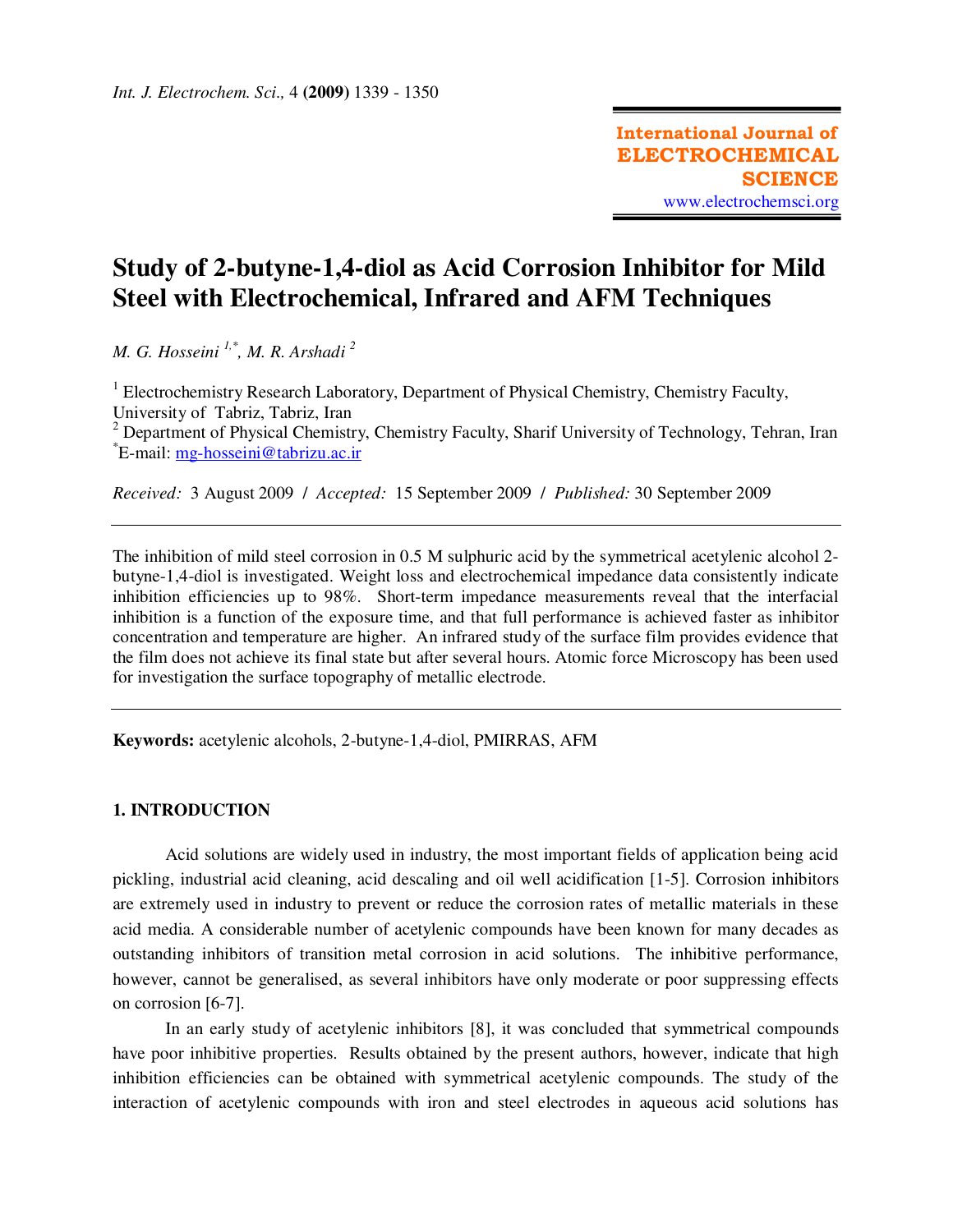# **Study of 2-butyne-1,4-diol as Acid Corrosion Inhibitor for Mild Steel with Electrochemical, Infrared and AFM Techniques**

*M. G. Hosseini 1,\*, M. R. Arshadi <sup>2</sup>*

<sup>1</sup> Electrochemistry Research Laboratory, Department of Physical Chemistry, Chemistry Faculty, University of Tabriz, Tabriz, Iran <sup>2</sup> Department of Physical Chemistry, Chemistry Faculty, Sharif University of Technology, Tehran, Iran \* E-mail: mg-hosseini@tabrizu.ac.ir

*Received:* 3 August 2009/ *Accepted:* 15 September 2009 / *Published:* 30 September 2009

The inhibition of mild steel corrosion in 0.5 M sulphuric acid by the symmetrical acetylenic alcohol 2 butyne-1,4-diol is investigated. Weight loss and electrochemical impedance data consistently indicate inhibition efficiencies up to 98%. Short-term impedance measurements reveal that the interfacial inhibition is a function of the exposure time, and that full performance is achieved faster as inhibitor concentration and temperature are higher. An infrared study of the surface film provides evidence that the film does not achieve its final state but after several hours. Atomic force Microscopy has been used for investigation the surface topography of metallic electrode.

**Keywords:** acetylenic alcohols, 2-butyne-1,4-diol, PMIRRAS, AFM

## **1. INTRODUCTION**

Acid solutions are widely used in industry, the most important fields of application being acid pickling, industrial acid cleaning, acid descaling and oil well acidification [1-5]. Corrosion inhibitors are extremely used in industry to prevent or reduce the corrosion rates of metallic materials in these acid media. A considerable number of acetylenic compounds have been known for many decades as outstanding inhibitors of transition metal corrosion in acid solutions. The inhibitive performance, however, cannot be generalised, as several inhibitors have only moderate or poor suppressing effects on corrosion [6-7].

In an early study of acetylenic inhibitors [8], it was concluded that symmetrical compounds have poor inhibitive properties. Results obtained by the present authors, however, indicate that high inhibition efficiencies can be obtained with symmetrical acetylenic compounds. The study of the interaction of acetylenic compounds with iron and steel electrodes in aqueous acid solutions has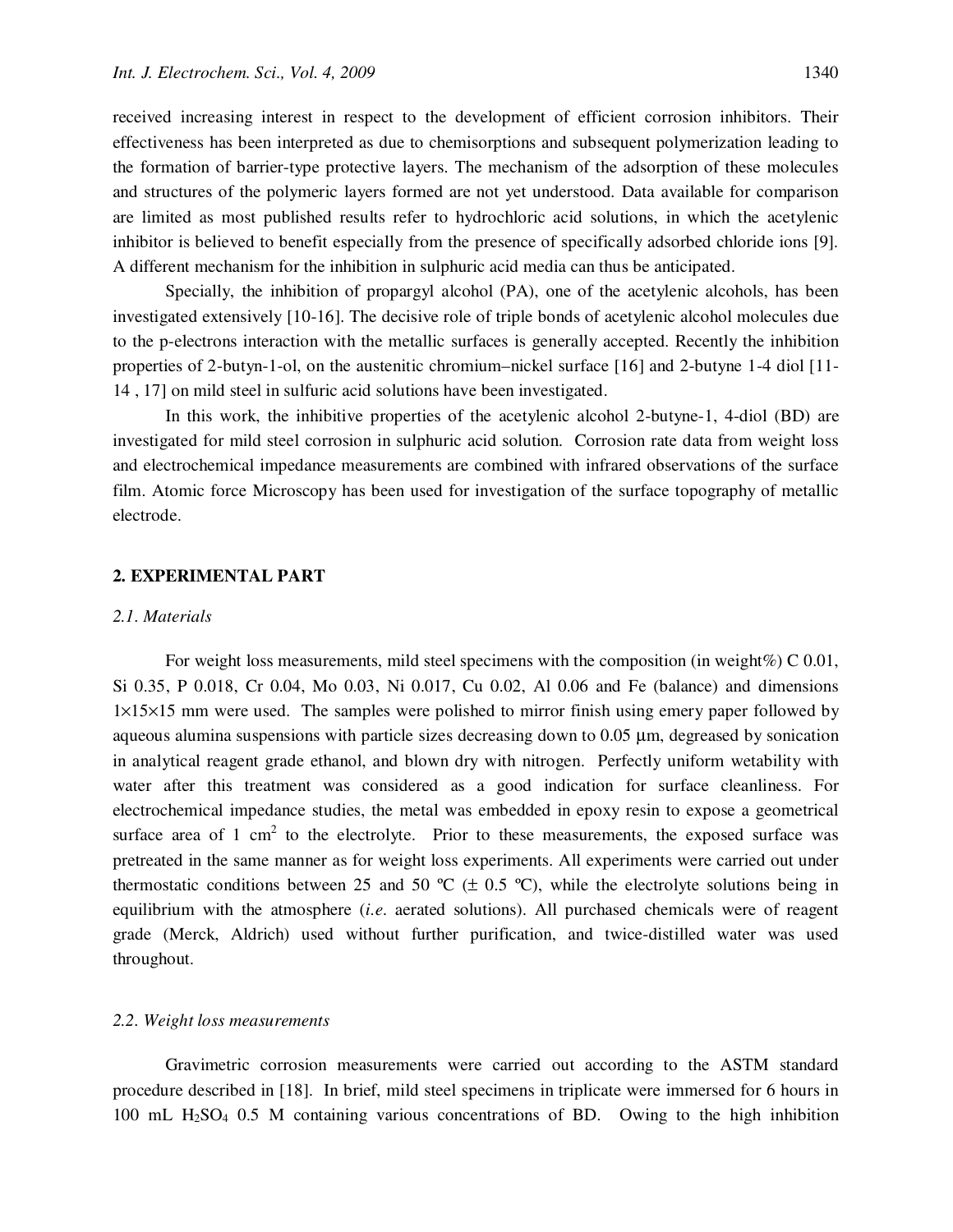received increasing interest in respect to the development of efficient corrosion inhibitors. Their effectiveness has been interpreted as due to chemisorptions and subsequent polymerization leading to the formation of barrier-type protective layers. The mechanism of the adsorption of these molecules and structures of the polymeric layers formed are not yet understood. Data available for comparison are limited as most published results refer to hydrochloric acid solutions, in which the acetylenic inhibitor is believed to benefit especially from the presence of specifically adsorbed chloride ions [9]. A different mechanism for the inhibition in sulphuric acid media can thus be anticipated.

Specially, the inhibition of propargyl alcohol (PA), one of the acetylenic alcohols, has been investigated extensively [10-16]. The decisive role of triple bonds of acetylenic alcohol molecules due to the p-electrons interaction with the metallic surfaces is generally accepted. Recently the inhibition properties of 2-butyn-1-ol, on the austenitic chromium–nickel surface [16] and 2-butyne 1-4 diol [11- 14 , 17] on mild steel in sulfuric acid solutions have been investigated.

In this work, the inhibitive properties of the acetylenic alcohol 2-butyne-1, 4-diol (BD) are investigated for mild steel corrosion in sulphuric acid solution. Corrosion rate data from weight loss and electrochemical impedance measurements are combined with infrared observations of the surface film. Atomic force Microscopy has been used for investigation of the surface topography of metallic electrode.

## **2. EXPERIMENTAL PART**

#### *2.1. Materials*

For weight loss measurements, mild steel specimens with the composition (in weight%) C  $0.01$ , Si 0.35, P 0.018, Cr 0.04, Mo 0.03, Ni 0.017, Cu 0.02, Al 0.06 and Fe (balance) and dimensions 1×15×15 mm were used. The samples were polished to mirror finish using emery paper followed by aqueous alumina suspensions with particle sizes decreasing down to 0.05 µm, degreased by sonication in analytical reagent grade ethanol, and blown dry with nitrogen. Perfectly uniform wetability with water after this treatment was considered as a good indication for surface cleanliness. For electrochemical impedance studies, the metal was embedded in epoxy resin to expose a geometrical surface area of 1 cm<sup>2</sup> to the electrolyte. Prior to these measurements, the exposed surface was pretreated in the same manner as for weight loss experiments. All experiments were carried out under thermostatic conditions between 25 and 50  $\textdegree C$  ( $\pm$  0.5  $\textdegree C$ ), while the electrolyte solutions being in equilibrium with the atmosphere (*i.e*. aerated solutions). All purchased chemicals were of reagent grade (Merck, Aldrich) used without further purification, and twice-distilled water was used throughout.

## *2.2. Weight loss measurements*

Gravimetric corrosion measurements were carried out according to the ASTM standard procedure described in [18]. In brief, mild steel specimens in triplicate were immersed for 6 hours in 100 mL H2SO4 0.5 M containing various concentrations of BD. Owing to the high inhibition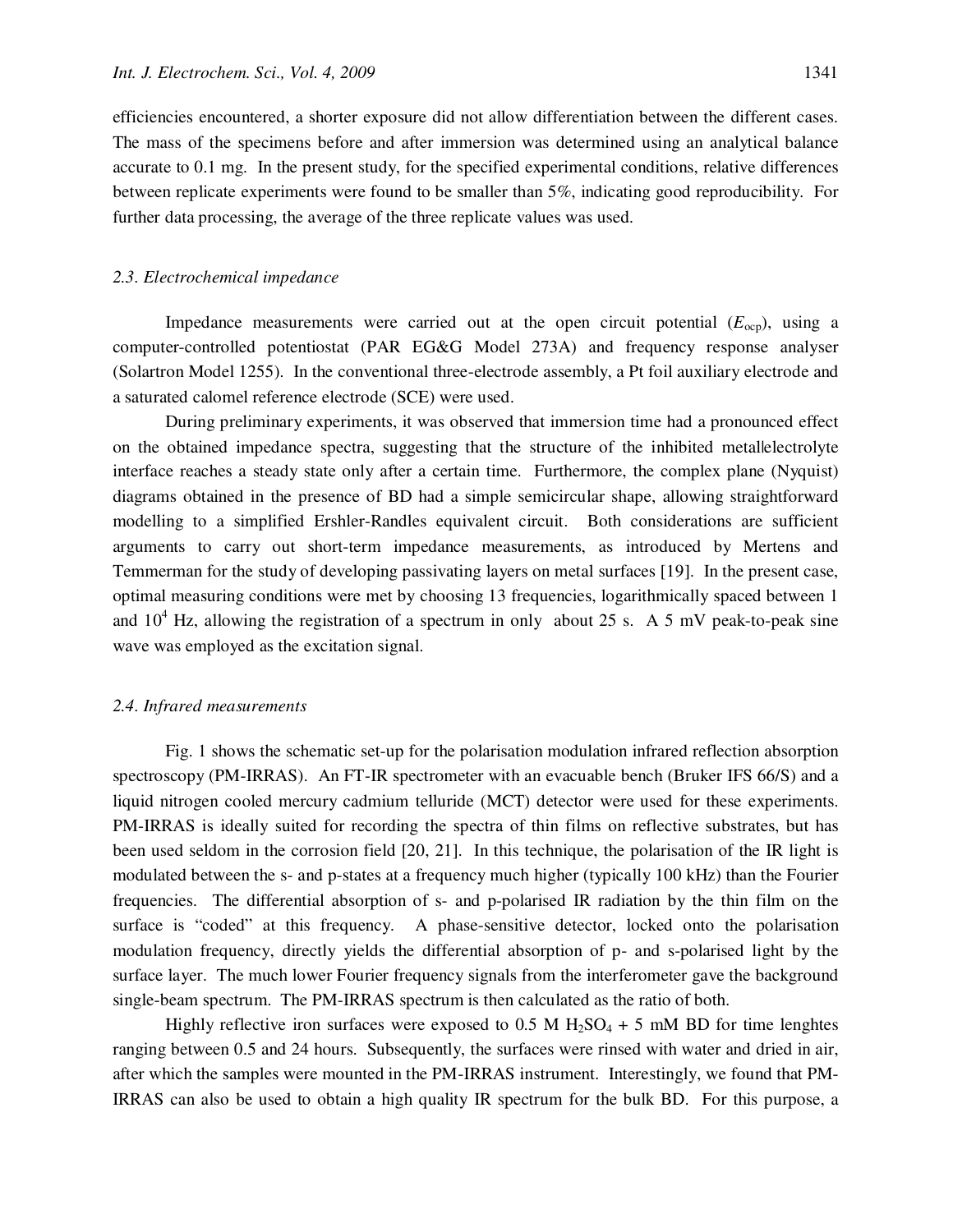efficiencies encountered, a shorter exposure did not allow differentiation between the different cases. The mass of the specimens before and after immersion was determined using an analytical balance accurate to 0.1 mg. In the present study, for the specified experimental conditions, relative differences between replicate experiments were found to be smaller than 5%, indicating good reproducibility. For further data processing, the average of the three replicate values was used.

#### *2.3. Electrochemical impedance*

Impedance measurements were carried out at the open circuit potential  $(E_{\text{ocp}})$ , using a computer-controlled potentiostat (PAR EG&G Model 273A) and frequency response analyser (Solartron Model 1255). In the conventional three-electrode assembly, a Pt foil auxiliary electrode and a saturated calomel reference electrode (SCE) were used.

During preliminary experiments, it was observed that immersion time had a pronounced effect on the obtained impedance spectra, suggesting that the structure of the inhibited metal|electrolyte interface reaches a steady state only after a certain time. Furthermore, the complex plane (Nyquist) diagrams obtained in the presence of BD had a simple semicircular shape, allowing straightforward modelling to a simplified Ershler-Randles equivalent circuit. Both considerations are sufficient arguments to carry out short-term impedance measurements, as introduced by Mertens and Temmerman for the study of developing passivating layers on metal surfaces [19]. In the present case, optimal measuring conditions were met by choosing 13 frequencies, logarithmically spaced between 1 and  $10^4$  Hz, allowing the registration of a spectrum in only about 25 s. A 5 mV peak-to-peak sine wave was employed as the excitation signal.

#### *2.4. Infrared measurements*

Fig. 1 shows the schematic set-up for the polarisation modulation infrared reflection absorption spectroscopy (PM-IRRAS). An FT-IR spectrometer with an evacuable bench (Bruker IFS 66/S) and a liquid nitrogen cooled mercury cadmium telluride (MCT) detector were used for these experiments. PM-IRRAS is ideally suited for recording the spectra of thin films on reflective substrates, but has been used seldom in the corrosion field [20, 21]. In this technique, the polarisation of the IR light is modulated between the s- and p-states at a frequency much higher (typically 100 kHz) than the Fourier frequencies. The differential absorption of s- and p-polarised IR radiation by the thin film on the surface is "coded" at this frequency. A phase-sensitive detector, locked onto the polarisation modulation frequency, directly yields the differential absorption of p- and s-polarised light by the surface layer. The much lower Fourier frequency signals from the interferometer gave the background single-beam spectrum. The PM-IRRAS spectrum is then calculated as the ratio of both.

Highly reflective iron surfaces were exposed to 0.5 M  $H_2SO_4 + 5$  mM BD for time lenghtes ranging between 0.5 and 24 hours. Subsequently, the surfaces were rinsed with water and dried in air, after which the samples were mounted in the PM-IRRAS instrument. Interestingly, we found that PM-IRRAS can also be used to obtain a high quality IR spectrum for the bulk BD. For this purpose, a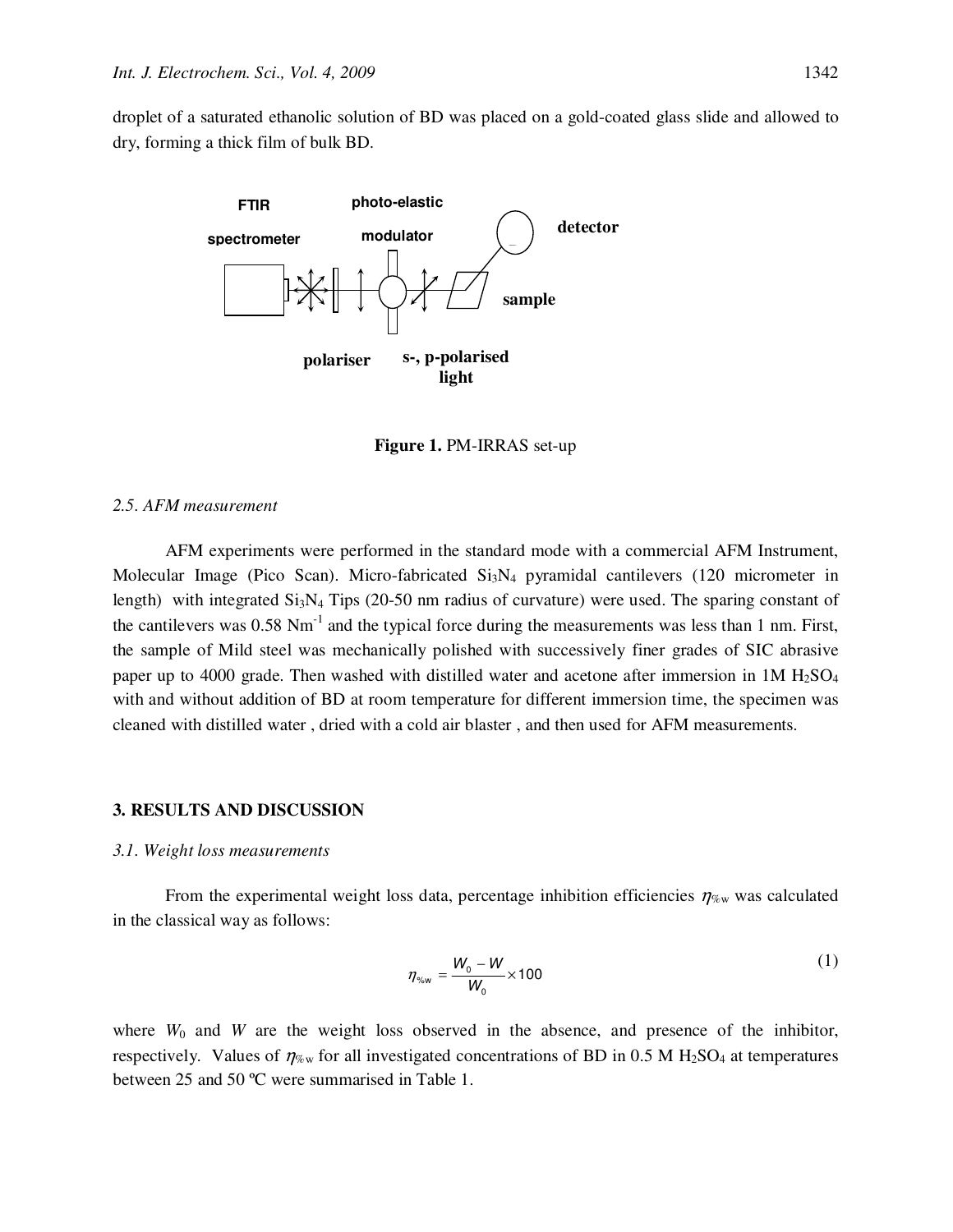droplet of a saturated ethanolic solution of BD was placed on a gold-coated glass slide and allowed to dry, forming a thick film of bulk BD.



**Figure 1.** PM-IRRAS set-up

## *2.5. AFM measurement*

AFM experiments were performed in the standard mode with a commercial AFM Instrument, Molecular Image (Pico Scan). Micro-fabricated Si<sub>3</sub>N<sub>4</sub> pyramidal cantilevers (120 micrometer in length) with integrated  $Si<sub>3</sub>N<sub>4</sub>$  Tips (20-50 nm radius of curvature) were used. The sparing constant of the cantilevers was 0.58 Nm<sup>-1</sup> and the typical force during the measurements was less than 1 nm. First, the sample of Mild steel was mechanically polished with successively finer grades of SIC abrasive paper up to 4000 grade. Then washed with distilled water and acetone after immersion in  $1M H<sub>2</sub>SO<sub>4</sub>$ with and without addition of BD at room temperature for different immersion time, the specimen was cleaned with distilled water , dried with a cold air blaster , and then used for AFM measurements.

#### **3. RESULTS AND DISCUSSION**

#### *3.1. Weight loss measurements*

From the experimental weight loss data, percentage inhibition efficiencies  $\eta_{\%w}$  was calculated in the classical way as follows:

$$
\eta_{\gamma_{\text{sw}}} = \frac{W_0 - W}{W_0} \times 100 \tag{1}
$$

where  $W_0$  and  $W$  are the weight loss observed in the absence, and presence of the inhibitor, respectively. Values of  $\eta_{\%w}$  for all investigated concentrations of BD in 0.5 M H<sub>2</sub>SO<sub>4</sub> at temperatures between 25 and 50 ºC were summarised in Table 1.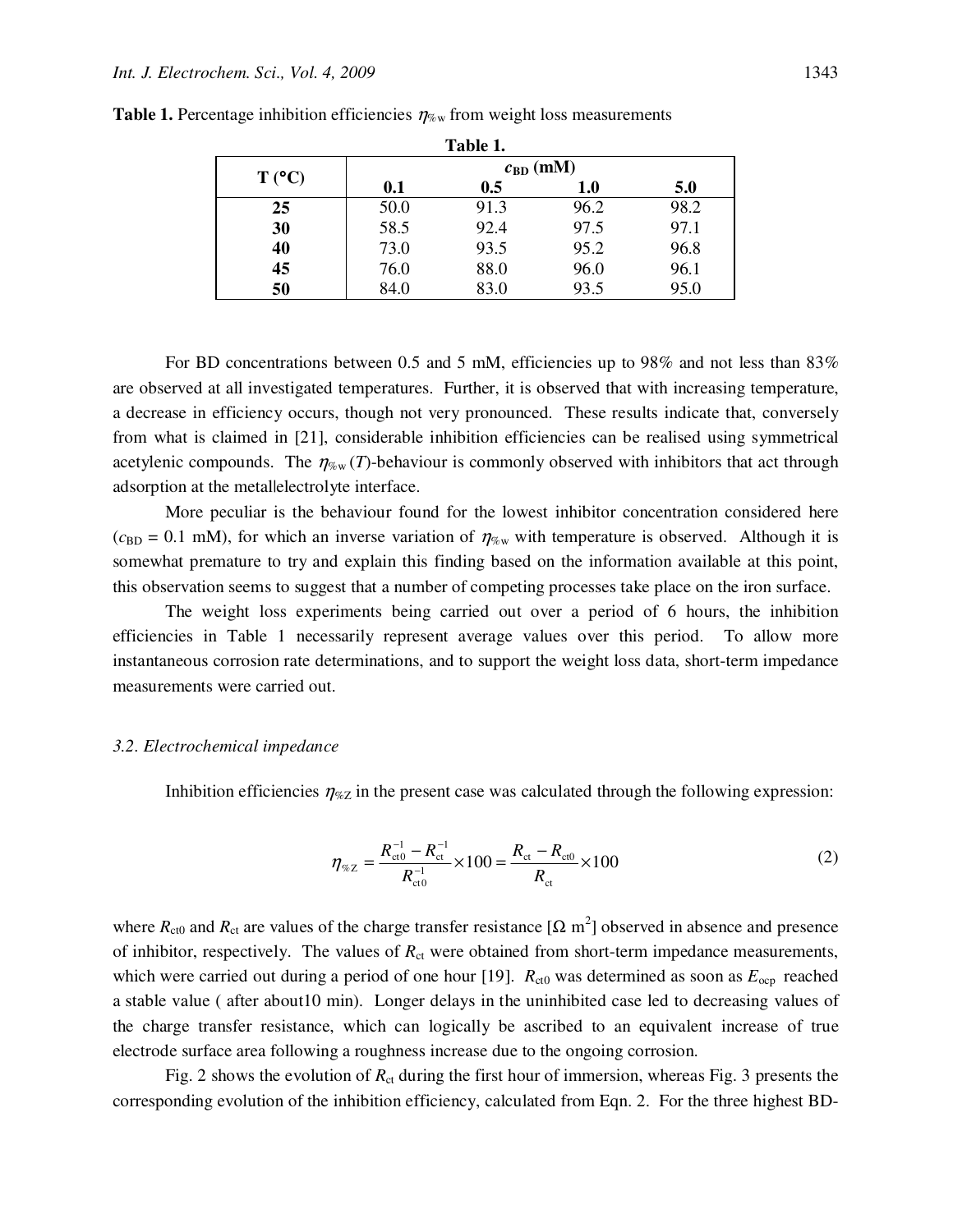| Table 1. |                      |      |      |      |
|----------|----------------------|------|------|------|
| T (°C)   | $c_{\text{BD}}$ (mM) |      |      |      |
|          | 0.1                  | 0.5  | 1.0  | 5.0  |
| 25       | 50.0                 | 91.3 | 96.2 | 98.2 |
| 30       | 58.5                 | 92.4 | 97.5 | 97.1 |
| 40       | 73.0                 | 93.5 | 95.2 | 96.8 |
| 45       | 76.0                 | 88.0 | 96.0 | 96.1 |
| 50       | 84.0                 | 83.0 | 93.5 | 95.0 |

**Table 1.** Percentage inhibition efficiencies  $\eta_{\text{w}}$  from weight loss measurements

For BD concentrations between 0.5 and 5 mM, efficiencies up to 98% and not less than 83% are observed at all investigated temperatures. Further, it is observed that with increasing temperature, a decrease in efficiency occurs, though not very pronounced. These results indicate that, conversely from what is claimed in [21], considerable inhibition efficiencies can be realised using symmetrical acetylenic compounds. The  $\eta_{\%w}(T)$ -behaviour is commonly observed with inhibitors that act through adsorption at the metal|electrolyte interface.

More peculiar is the behaviour found for the lowest inhibitor concentration considered here  $(c_{BD} = 0.1 \text{ mM})$ , for which an inverse variation of  $\eta_{\%w}$  with temperature is observed. Although it is somewhat premature to try and explain this finding based on the information available at this point, this observation seems to suggest that a number of competing processes take place on the iron surface.

The weight loss experiments being carried out over a period of 6 hours, the inhibition efficiencies in Table 1 necessarily represent average values over this period. To allow more instantaneous corrosion rate determinations, and to support the weight loss data, short-term impedance measurements were carried out.

#### *3.2. Electrochemical impedance*

Inhibition efficiencies  $\eta_{\%Z}$  in the present case was calculated through the following expression:

$$
\eta_{\%Z} = \frac{R_{\text{ct0}}^{-1} - R_{\text{ct}}^{-1}}{R_{\text{ct0}}^{-1}} \times 100 = \frac{R_{\text{ct}} - R_{\text{ct0}}}{R_{\text{ct}}} \times 100
$$
\n(2)

where  $R_{\text{ct0}}$  and  $R_{\text{ct}}$  are values of the charge transfer resistance [ $\Omega$  m<sup>2</sup>] observed in absence and presence of inhibitor, respectively. The values of  $R<sub>ct</sub>$  were obtained from short-term impedance measurements, which were carried out during a period of one hour [19].  $R_{\text{ct0}}$  was determined as soon as  $E_{\text{ocp}}$  reached a stable value ( after about10 min). Longer delays in the uninhibited case led to decreasing values of the charge transfer resistance, which can logically be ascribed to an equivalent increase of true electrode surface area following a roughness increase due to the ongoing corrosion.

Fig. 2 shows the evolution of  $R_{ct}$  during the first hour of immersion, whereas Fig. 3 presents the corresponding evolution of the inhibition efficiency, calculated from Eqn. 2. For the three highest BD-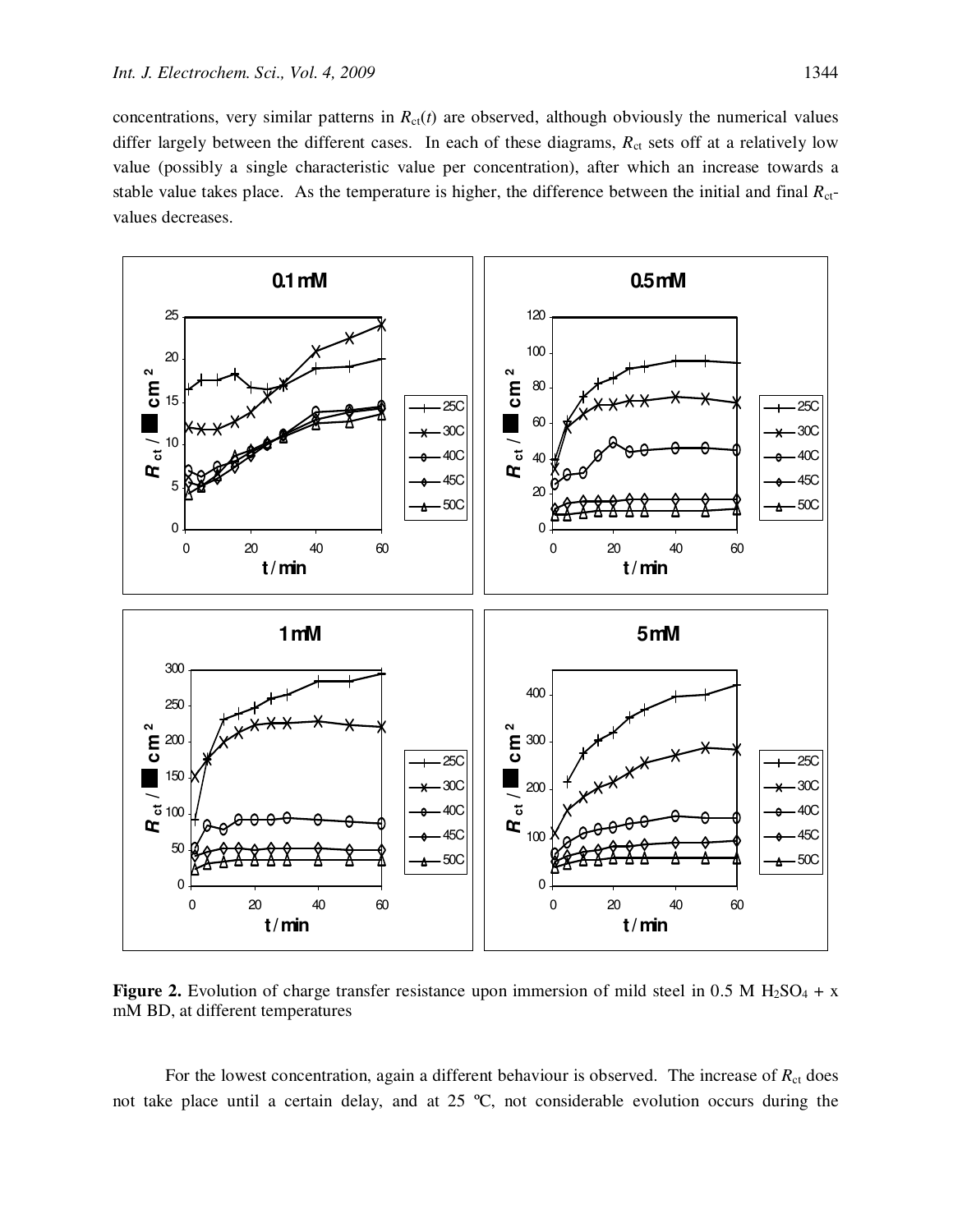concentrations, very similar patterns in  $R_{ct}(t)$  are observed, although obviously the numerical values differ largely between the different cases. In each of these diagrams,  $R_{ct}$  sets off at a relatively low value (possibly a single characteristic value per concentration), after which an increase towards a stable value takes place. As the temperature is higher, the difference between the initial and final  $R<sub>ct</sub>$ values decreases.



**Figure 2.** Evolution of charge transfer resistance upon immersion of mild steel in 0.5 M  $H_2SO_4 + x$ mM BD, at different temperatures

For the lowest concentration, again a different behaviour is observed. The increase of  $R<sub>ct</sub>$  does not take place until a certain delay, and at 25 ºC, not considerable evolution occurs during the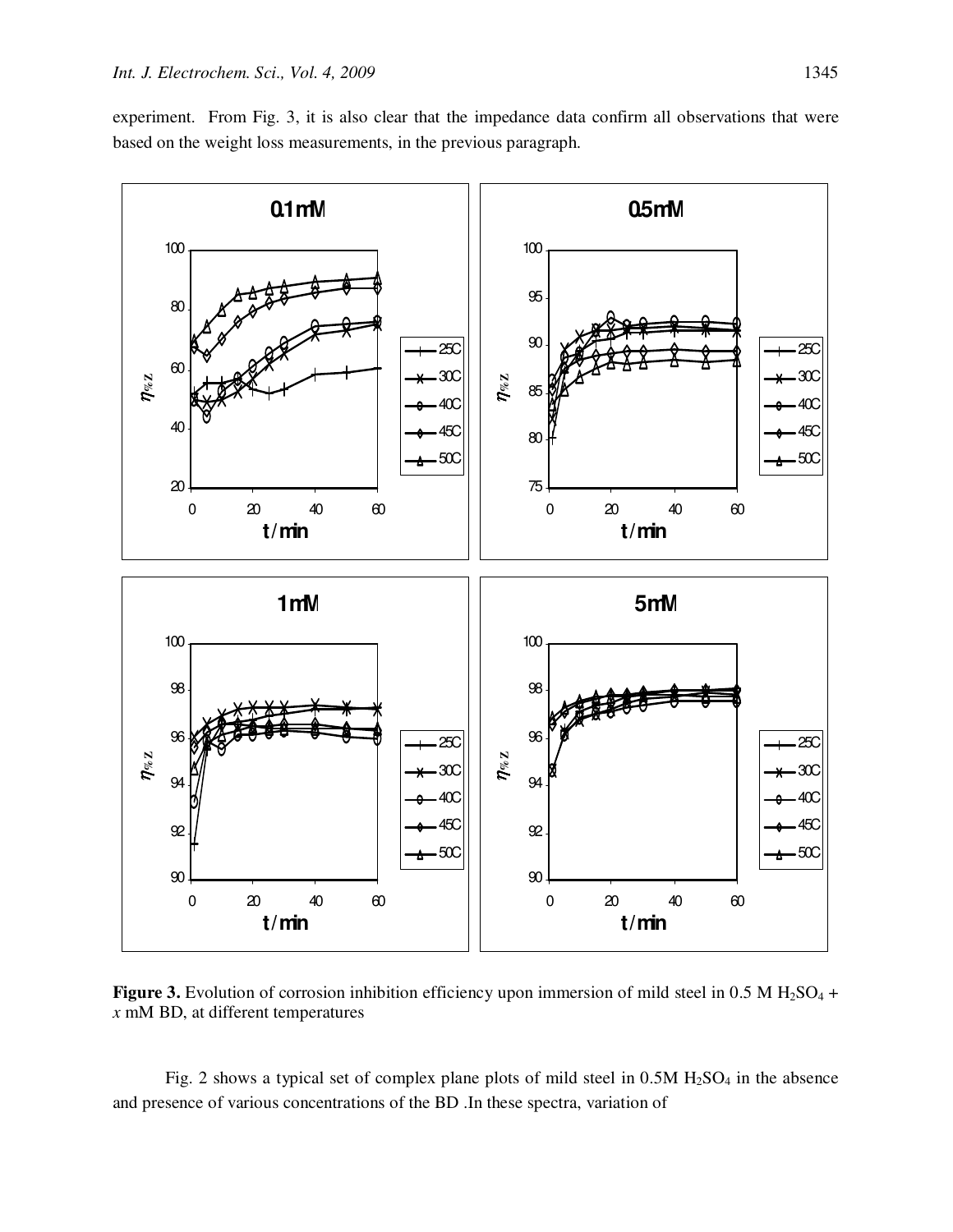experiment. From Fig. 3, it is also clear that the impedance data confirm all observations that were based on the weight loss measurements, in the previous paragraph.



**Figure 3.** Evolution of corrosion inhibition efficiency upon immersion of mild steel in 0.5 M H<sub>2</sub>SO<sub>4</sub> + *x* mM BD, at different temperatures

Fig. 2 shows a typical set of complex plane plots of mild steel in  $0.5M H<sub>2</sub>SO<sub>4</sub>$  in the absence and presence of various concentrations of the BD .In these spectra, variation of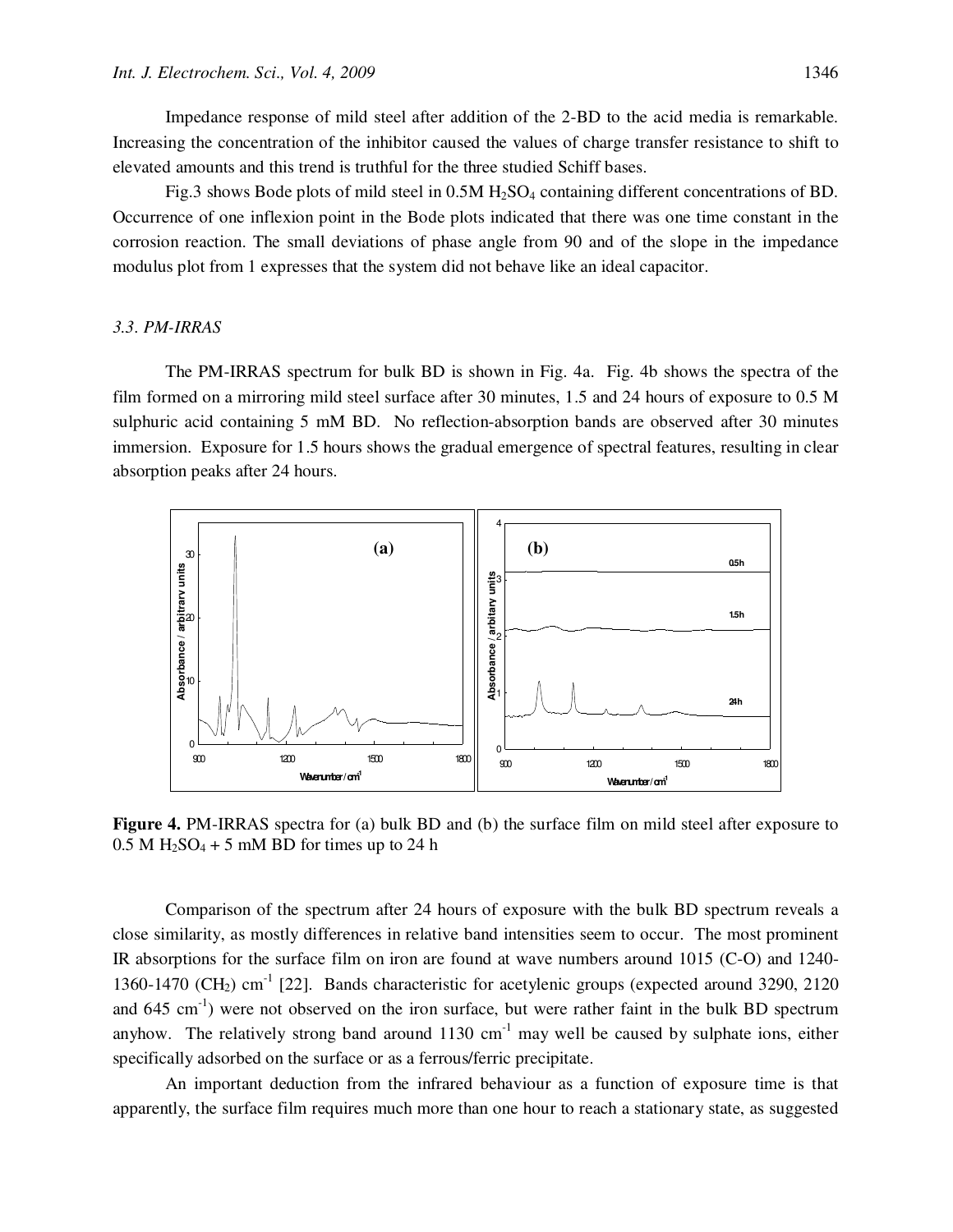Impedance response of mild steel after addition of the 2-BD to the acid media is remarkable. Increasing the concentration of the inhibitor caused the values of charge transfer resistance to shift to elevated amounts and this trend is truthful for the three studied Schiff bases.

Fig.3 shows Bode plots of mild steel in 0.5M H<sub>2</sub>SO<sub>4</sub> containing different concentrations of BD. Occurrence of one inflexion point in the Bode plots indicated that there was one time constant in the corrosion reaction. The small deviations of phase angle from 90 and of the slope in the impedance modulus plot from 1 expresses that the system did not behave like an ideal capacitor.

## *3.3. PM-IRRAS*

The PM-IRRAS spectrum for bulk BD is shown in Fig. 4a. Fig. 4b shows the spectra of the film formed on a mirroring mild steel surface after 30 minutes, 1.5 and 24 hours of exposure to 0.5 M sulphuric acid containing 5 mM BD. No reflection-absorption bands are observed after 30 minutes immersion. Exposure for 1.5 hours shows the gradual emergence of spectral features, resulting in clear absorption peaks after 24 hours.



**Figure 4.** PM-IRRAS spectra for (a) bulk BD and (b) the surface film on mild steel after exposure to  $0.5$  M H<sub>2</sub>SO<sub>4</sub> + 5 mM BD for times up to 24 h

Comparison of the spectrum after 24 hours of exposure with the bulk BD spectrum reveals a close similarity, as mostly differences in relative band intensities seem to occur. The most prominent IR absorptions for the surface film on iron are found at wave numbers around 1015 (C-O) and 1240- 1360-1470 (CH<sub>2</sub>) cm<sup>-1</sup> [22]. Bands characteristic for acetylenic groups (expected around 3290, 2120) and  $645 \text{ cm}^{-1}$ ) were not observed on the iron surface, but were rather faint in the bulk BD spectrum anyhow. The relatively strong band around  $1130 \text{ cm}^{-1}$  may well be caused by sulphate ions, either specifically adsorbed on the surface or as a ferrous/ferric precipitate.

An important deduction from the infrared behaviour as a function of exposure time is that apparently, the surface film requires much more than one hour to reach a stationary state, as suggested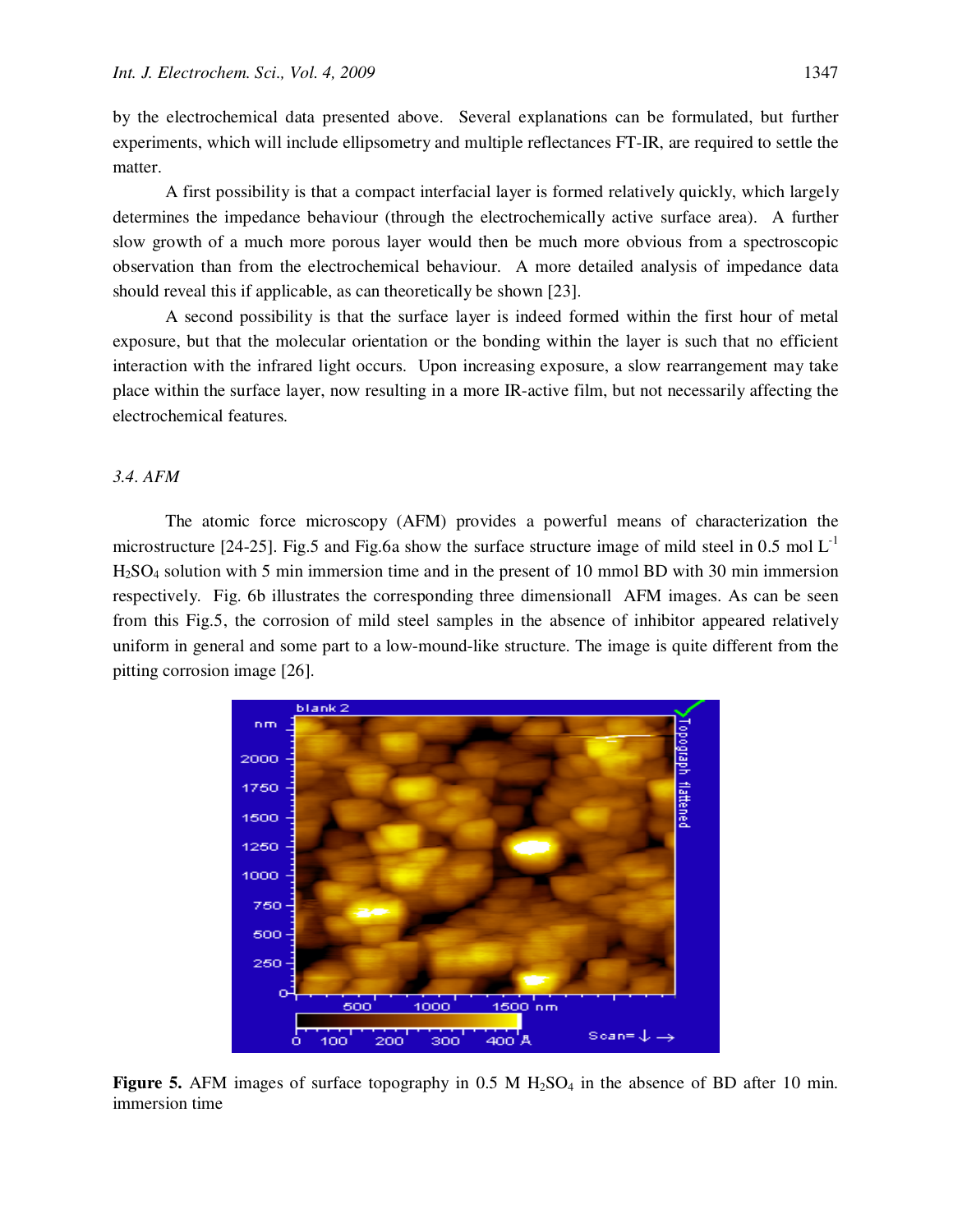by the electrochemical data presented above. Several explanations can be formulated, but further experiments, which will include ellipsometry and multiple reflectances FT-IR, are required to settle the matter.

A first possibility is that a compact interfacial layer is formed relatively quickly, which largely determines the impedance behaviour (through the electrochemically active surface area). A further slow growth of a much more porous layer would then be much more obvious from a spectroscopic observation than from the electrochemical behaviour. A more detailed analysis of impedance data should reveal this if applicable, as can theoretically be shown [23].

A second possibility is that the surface layer is indeed formed within the first hour of metal exposure, but that the molecular orientation or the bonding within the layer is such that no efficient interaction with the infrared light occurs. Upon increasing exposure, a slow rearrangement may take place within the surface layer, now resulting in a more IR-active film, but not necessarily affecting the electrochemical features.

## *3.4. AFM*

The atomic force microscopy (AFM) provides a powerful means of characterization the microstructure [24-25]. Fig.5 and Fig.6a show the surface structure image of mild steel in 0.5 mol  $L^{-1}$ H2SO4 solution with 5 min immersion time and in the present of 10 mmol BD with 30 min immersion respectively. Fig. 6b illustrates the corresponding three dimensionall AFM images. As can be seen from this Fig.5, the corrosion of mild steel samples in the absence of inhibitor appeared relatively uniform in general and some part to a low-mound-like structure. The image is quite different from the pitting corrosion image [26].



**Figure 5.** AFM images of surface topography in  $0.5$  M  $H_2SO_4$  in the absence of BD after 10 min. immersion time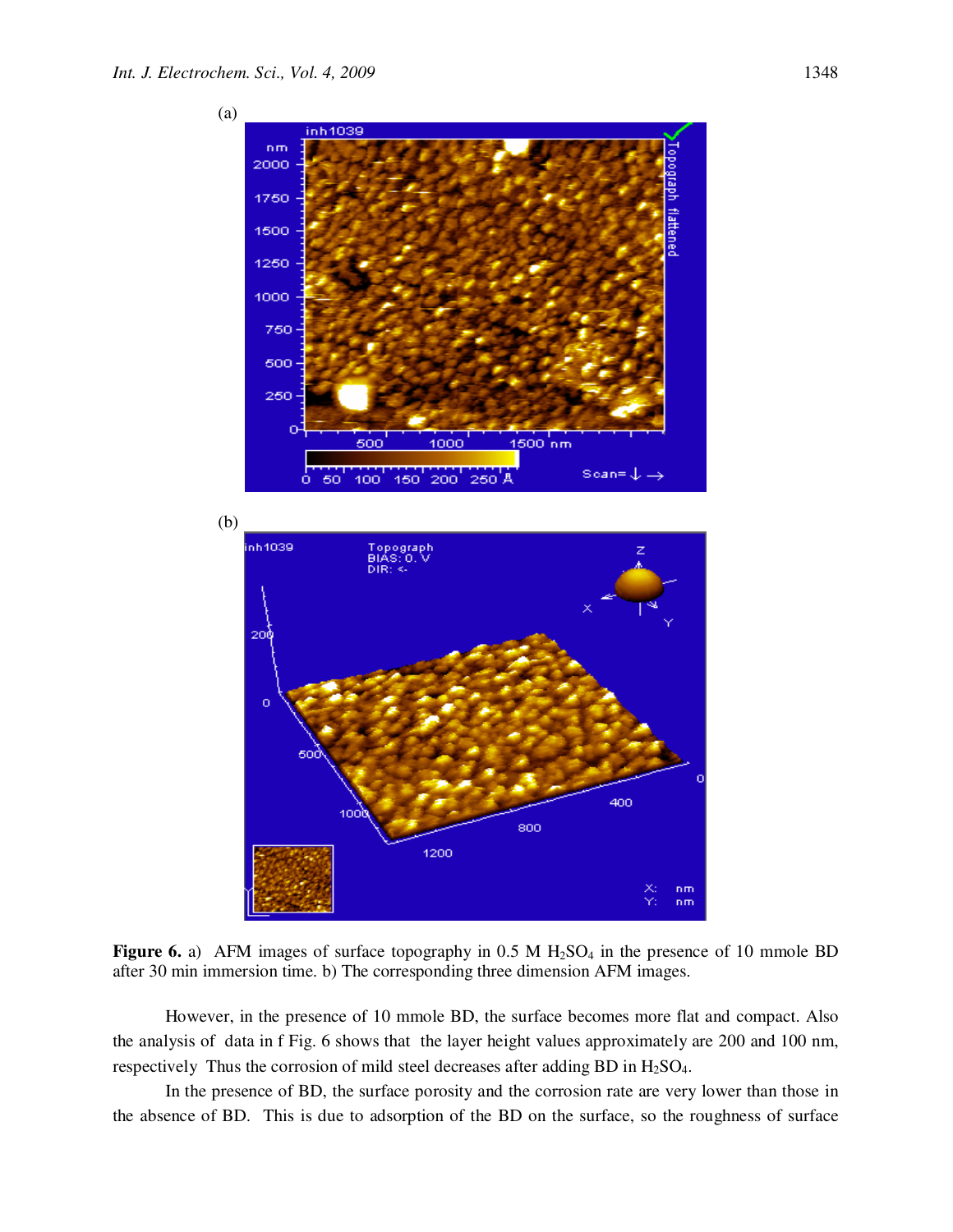

**Figure 6.** a) AFM images of surface topography in  $0.5$  M  $H_2SO_4$  in the presence of 10 mmole BD after 30 min immersion time. b) The corresponding three dimension AFM images.

However, in the presence of 10 mmole BD, the surface becomes more flat and compact. Also the analysis of data in f Fig. 6 shows that the layer height values approximately are 200 and 100 nm, respectively Thus the corrosion of mild steel decreases after adding BD in H<sub>2</sub>SO<sub>4</sub>.

In the presence of BD, the surface porosity and the corrosion rate are very lower than those in the absence of BD. This is due to adsorption of the BD on the surface, so the roughness of surface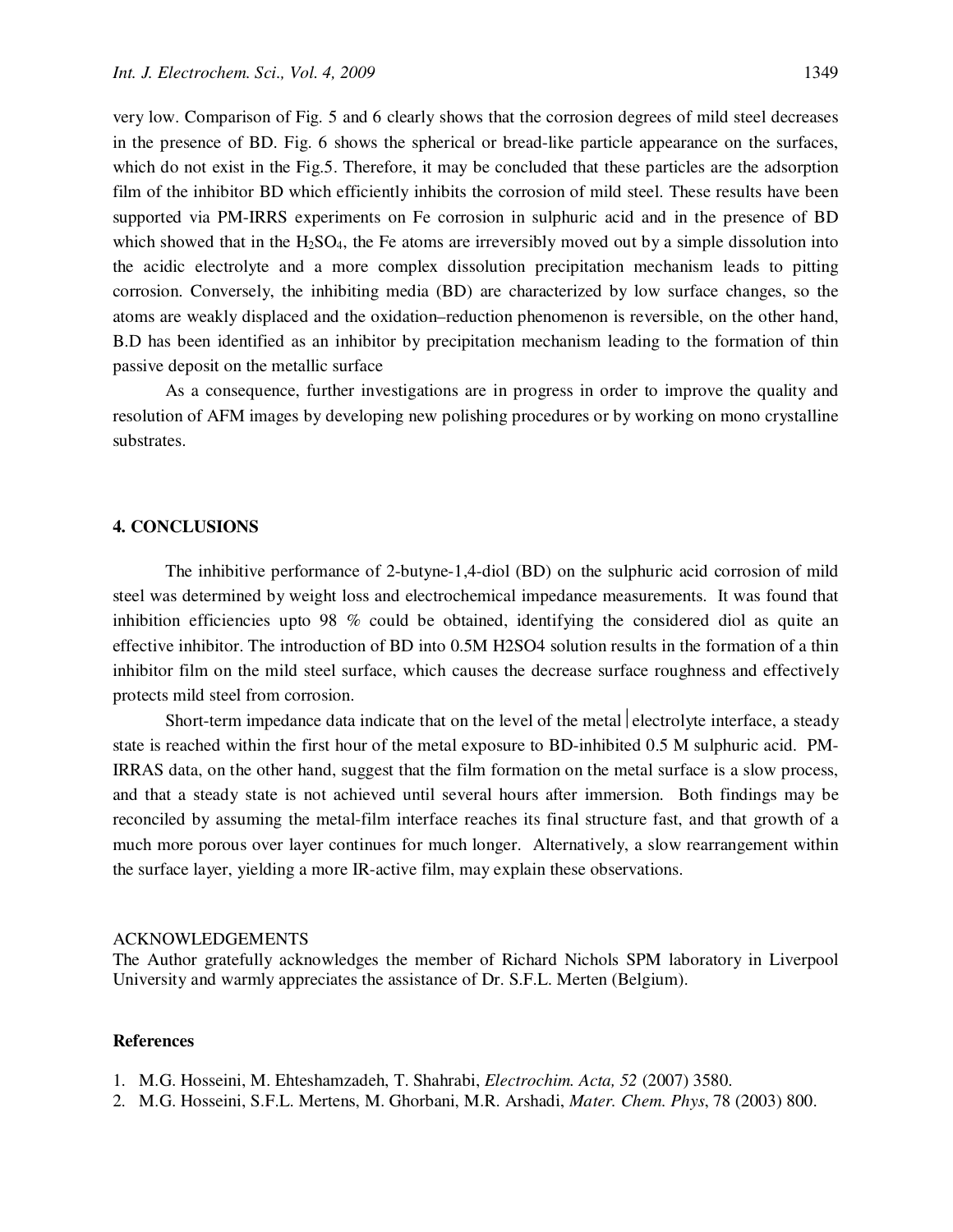very low. Comparison of Fig. 5 and 6 clearly shows that the corrosion degrees of mild steel decreases in the presence of BD. Fig. 6 shows the spherical or bread-like particle appearance on the surfaces, which do not exist in the Fig.5. Therefore, it may be concluded that these particles are the adsorption film of the inhibitor BD which efficiently inhibits the corrosion of mild steel. These results have been supported via PM-IRRS experiments on Fe corrosion in sulphuric acid and in the presence of BD which showed that in the  $H_2SO_4$ , the Fe atoms are irreversibly moved out by a simple dissolution into the acidic electrolyte and a more complex dissolution precipitation mechanism leads to pitting corrosion. Conversely, the inhibiting media (BD) are characterized by low surface changes, so the atoms are weakly displaced and the oxidation–reduction phenomenon is reversible, on the other hand, B.D has been identified as an inhibitor by precipitation mechanism leading to the formation of thin passive deposit on the metallic surface

As a consequence, further investigations are in progress in order to improve the quality and resolution of AFM images by developing new polishing procedures or by working on mono crystalline substrates.

## **4. CONCLUSIONS**

The inhibitive performance of 2-butyne-1,4-diol (BD) on the sulphuric acid corrosion of mild steel was determined by weight loss and electrochemical impedance measurements. It was found that inhibition efficiencies upto 98 % could be obtained, identifying the considered diol as quite an effective inhibitor. The introduction of BD into 0.5M H2SO4 solution results in the formation of a thin inhibitor film on the mild steel surface, which causes the decrease surface roughness and effectively protects mild steel from corrosion.

Short-term impedance data indicate that on the level of the metal electrolyte interface, a steady state is reached within the first hour of the metal exposure to BD-inhibited 0.5 M sulphuric acid. PM-IRRAS data, on the other hand, suggest that the film formation on the metal surface is a slow process, and that a steady state is not achieved until several hours after immersion. Both findings may be reconciled by assuming the metal-film interface reaches its final structure fast, and that growth of a much more porous over layer continues for much longer. Alternatively, a slow rearrangement within the surface layer, yielding a more IR-active film, may explain these observations.

#### ACKNOWLEDGEMENTS

The Author gratefully acknowledges the member of Richard Nichols SPM laboratory in Liverpool University and warmly appreciates the assistance of Dr. S.F.L. Merten (Belgium).

#### **References**

- 1. M.G. Hosseini, M. Ehteshamzadeh, T. Shahrabi, *Electrochim. Acta, 52* (2007) 3580.
- 2. M.G. Hosseini, S.F.L. Mertens, M. Ghorbani, M.R. Arshadi, *Mater. Chem. Phys*, 78 (2003) 800.